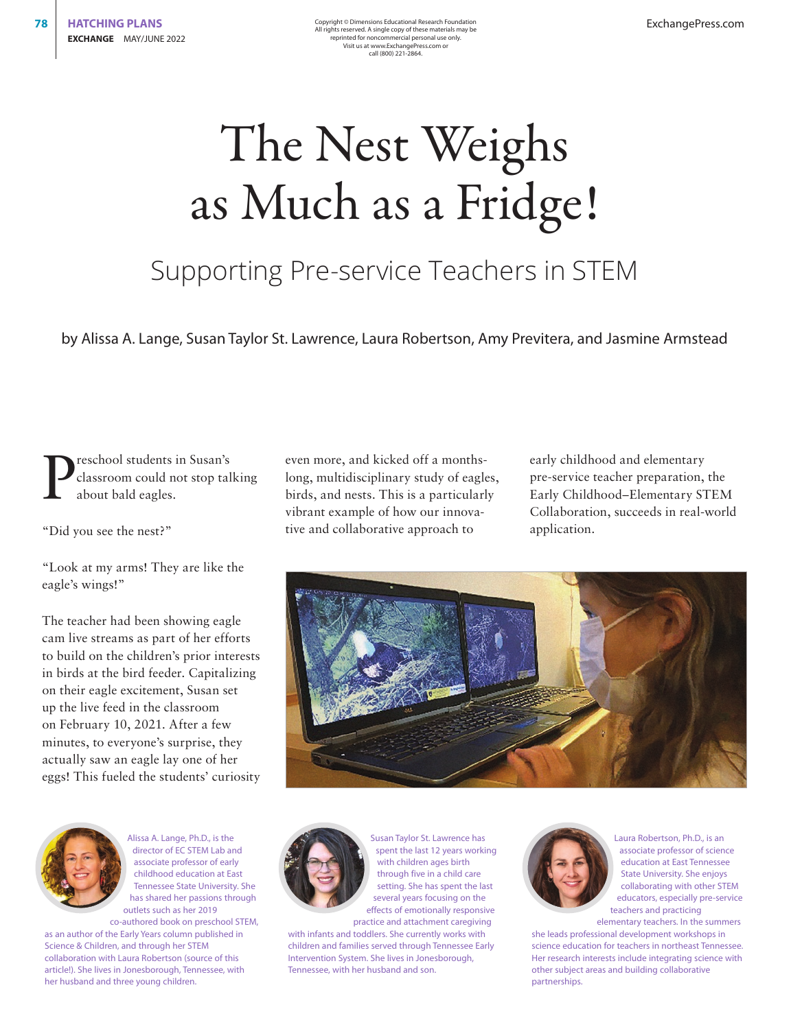# The Nest Weighs as Much as a Fridge!

### Supporting Pre-service Teachers in STEM

by Alissa A. Lange, Susan Taylor St. Lawrence, Laura Robertson, Amy Previtera, and Jasmine Armstead

P reschool students in Susan's classroom could not stop talking about bald eagles.

"Did you see the nest?"

"Look at my arms! They are like the eagle's wings!"

The teacher had been showing eagle cam live streams as part of her efforts to build on the children's prior interests in birds at the bird feeder. Capitalizing on their eagle excitement, Susan set up the live feed in the classroom on February 10, 2021. After a few minutes, to everyone's surprise, they actually saw an eagle lay one of her eggs! This fueled the students' curiosity

Alissa A. Lange, Ph.D., is the director of EC STEM Lab and associate professor of early childhood education at East Tennessee State University. She has shared her passions through outlets such as her 2019 co-authored book on preschool STEM,

as an author of the Early Years column published in Science & Children, and through her STEM collaboration with Laura Robertson (source of this article!). She lives in Jonesborough, Tennessee, with her husband and three young children.

even more, and kicked off a monthslong, multidisciplinary study of eagles, birds, and nests. This is a particularly vibrant example of how our innovative and collaborative approach to

early childhood and elementary pre-service teacher preparation, the Early Childhood–Elementary STEM Collaboration, succeeds in real-world application.





Susan Taylor St. Lawrence has spent the last 12 years working with children ages birth through five in a child care setting. She has spent the last several years focusing on the effects of emotionally responsive practice and attachment caregiving

with infants and toddlers. She currently works with children and families served through Tennessee Early Intervention System. She lives in Jonesborough, Tennessee, with her husband and son.



Laura Robertson, Ph.D., is an associate professor of science education at East Tennessee State University. She enjoys collaborating with other STEM educators, especially pre-service teachers and practicing elementary teachers. In the summers

she leads professional development workshops in science education for teachers in northeast Tennessee. Her research interests include integrating science with other subject areas and building collaborative partnerships.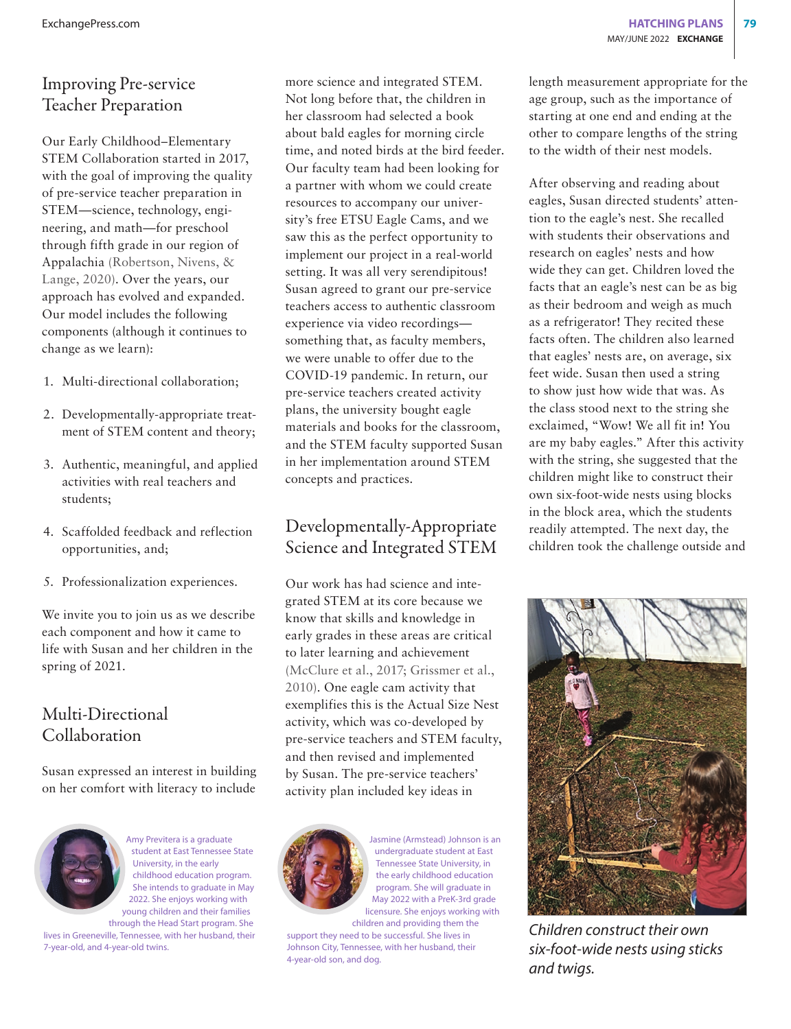### Improving Pre-service Teacher Preparation

Our Early Childhood–Elementary STEM Collaboration started in 2017, with the goal of improving the quality of pre-service teacher preparation in STEM—science, technology, engineering, and math—for preschool through fifth grade in our region of Appalachia (Robertson, Nivens, & Lange, 2020). Over the years, our approach has evolved and expanded. Our model includes the following components (although it continues to change as we learn):

- 1. Multi-directional collaboration;
- 2. Developmentally-appropriate treatment of STEM content and theory;
- 3. Authentic, meaningful, and applied activities with real teachers and students;
- 4. Scaffolded feedback and reflection opportunities, and;
- 5. Professionalization experiences.

We invite you to join us as we describe each component and how it came to life with Susan and her children in the spring of 2021.

### Multi-Directional Collaboration

Susan expressed an interest in building on her comfort with literacy to include



Amy Previtera is a graduate student at East Tennessee State University, in the early childhood education program. She intends to graduate in May 2022. She enjoys working with young children and their families through the Head Start program. She

lives in Greeneville, Tennessee, with her husband, their 7-year-old, and 4-year-old twins.

more science and integrated STEM. Not long before that, the children in her classroom had selected a book about bald eagles for morning circle time, and noted birds at the bird feeder. Our faculty team had been looking for a partner with whom we could create resources to accompany our university's free ETSU Eagle Cams, and we saw this as the perfect opportunity to implement our project in a real-world setting. It was all very serendipitous! Susan agreed to grant our pre-service teachers access to authentic classroom experience via video recordings something that, as faculty members, we were unable to offer due to the COVID-19 pandemic. In return, our pre-service teachers created activity plans, the university bought eagle materials and books for the classroom, and the STEM faculty supported Susan in her implementation around STEM concepts and practices.

### Developmentally-Appropriate Science and Integrated STEM

Our work has had science and integrated STEM at its core because we know that skills and knowledge in early grades in these areas are critical to later learning and achievement (McClure et al., 2017; Grissmer et al., 2010). One eagle cam activity that exemplifies this is the Actual Size Nest activity, which was co-developed by pre-service teachers and STEM faculty, and then revised and implemented by Susan. The pre-service teachers' activity plan included key ideas in



Jasmine (Armstead) Johnson is an undergraduate student at East Tennessee State University, in the early childhood education program. She will graduate in May 2022 with a PreK-3rd grade licensure. She enjoys working with children and providing them the

support they need to be successful. She lives in Johnson City, Tennessee, with her husband, their 4-year-old son, and dog.

length measurement appropriate for the age group, such as the importance of starting at one end and ending at the other to compare lengths of the string to the width of their nest models.

After observing and reading about eagles, Susan directed students' attention to the eagle's nest. She recalled with students their observations and research on eagles' nests and how wide they can get. Children loved the facts that an eagle's nest can be as big as their bedroom and weigh as much as a refrigerator! They recited these facts often. The children also learned that eagles' nests are, on average, six feet wide. Susan then used a string to show just how wide that was. As the class stood next to the string she exclaimed, "Wow! We all fit in! You are my baby eagles." After this activity with the string, she suggested that the children might like to construct their own six-foot-wide nests using blocks in the block area, which the students readily attempted. The next day, the children took the challenge outside and



*Children construct their own six-foot-wide nests using sticks and twigs.*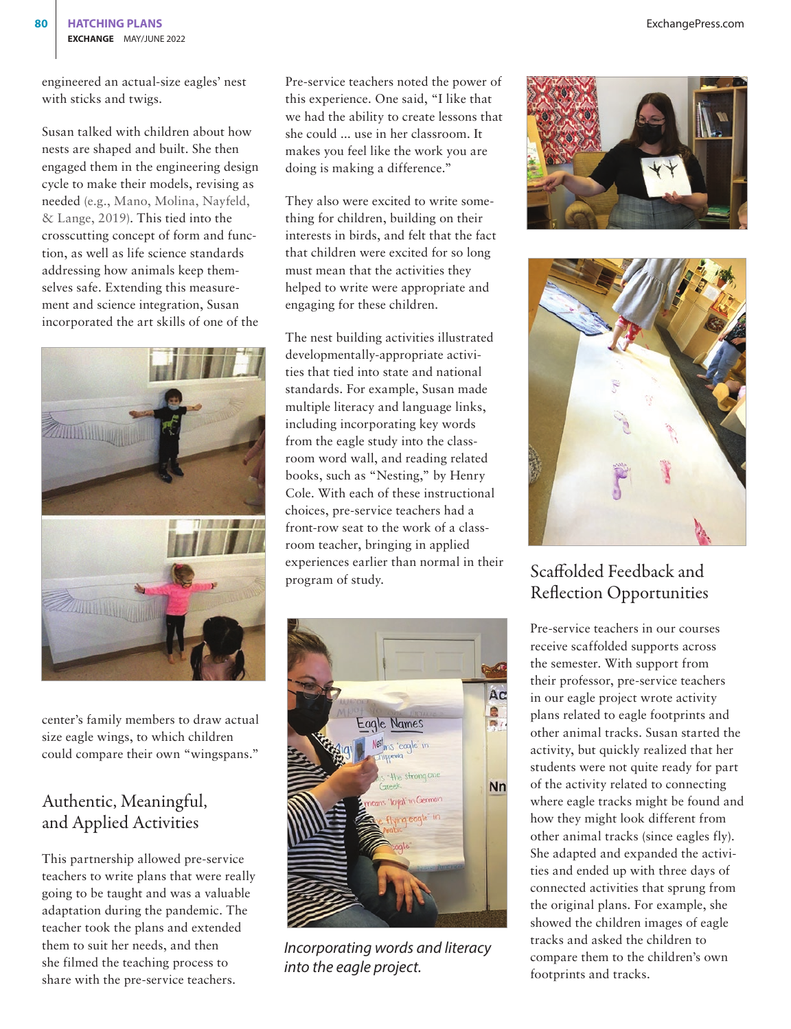engineered an actual-size eagles' nest with sticks and twigs.

Susan talked with children about how nests are shaped and built. She then engaged them in the engineering design cycle to make their models, revising as needed (e.g., Mano, Molina, Nayfeld, & Lange, 2019). This tied into the crosscutting concept of form and function, as well as life science standards addressing how animals keep themselves safe. Extending this measurement and science integration, Susan incorporated the art skills of one of the



center's family members to draw actual size eagle wings, to which children could compare their own "wingspans."

### Authentic, Meaningful, and Applied Activities

This partnership allowed pre-service teachers to write plans that were really going to be taught and was a valuable adaptation during the pandemic. The teacher took the plans and extended them to suit her needs, and then she filmed the teaching process to share with the pre-service teachers.

Pre-service teachers noted the power of this experience. One said, "I like that we had the ability to create lessons that she could ... use in her classroom. It makes you feel like the work you are doing is making a difference."

They also were excited to write something for children, building on their interests in birds, and felt that the fact that children were excited for so long must mean that the activities they helped to write were appropriate and engaging for these children.

The nest building activities illustrated developmentally-appropriate activities that tied into state and national standards. For example, Susan made multiple literacy and language links, including incorporating key words from the eagle study into the classroom word wall, and reading related books, such as "Nesting," by Henry Cole. With each of these instructional choices, pre-service teachers had a front-row seat to the work of a classroom teacher, bringing in applied experiences earlier than normal in their experiences earlier than normal in their<br>Scaffolded Feedback and<br>program of study.



*Incorporating words and literacy into the eagle project.* 





## Reflection Opportunities

Pre-service teachers in our courses receive scaffolded supports across the semester. With support from their professor, pre-service teachers in our eagle project wrote activity plans related to eagle footprints and other animal tracks. Susan started the activity, but quickly realized that her students were not quite ready for part of the activity related to connecting where eagle tracks might be found and how they might look different from other animal tracks (since eagles fly). She adapted and expanded the activities and ended up with three days of connected activities that sprung from the original plans. For example, she showed the children images of eagle tracks and asked the children to compare them to the children's own footprints and tracks.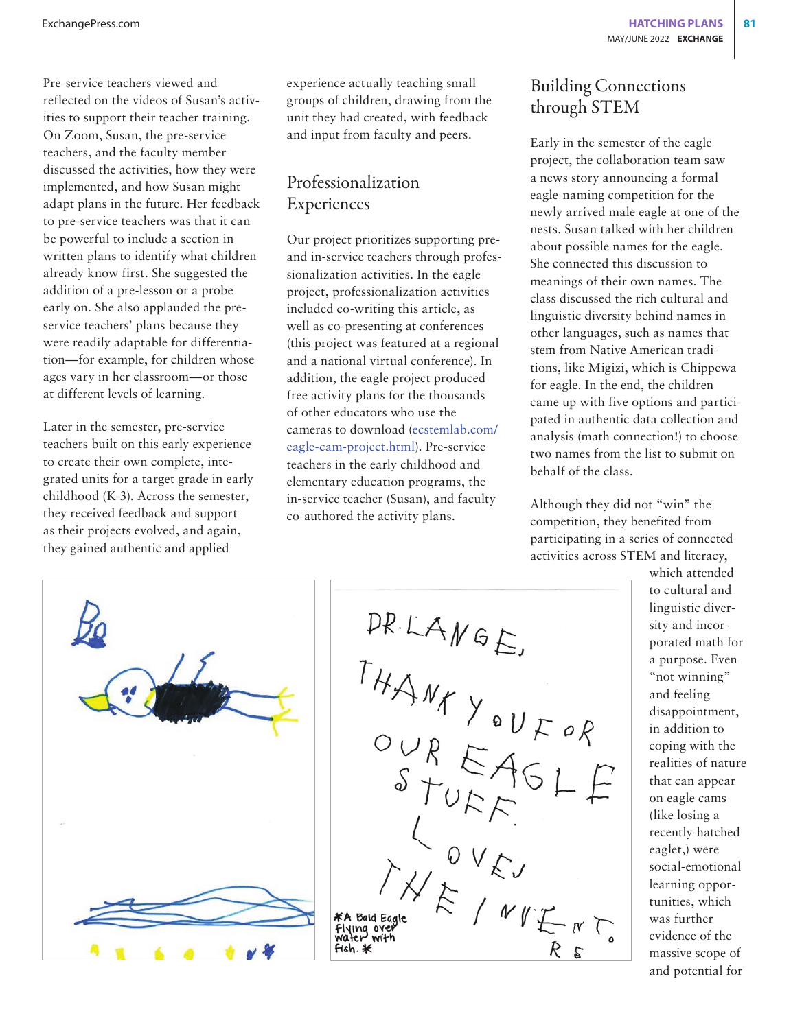Pre-service teachers viewed and reflected on the videos of Susan's activities to support their teacher training. On Zoom, Susan, the pre-service teachers, and the faculty member discussed the activities, how they were implemented, and how Susan might adapt plans in the future. Her feedback to pre-service teachers was that it can be powerful to include a section in written plans to identify what children already know first. She suggested the addition of a pre-lesson or a probe early on. She also applauded the preservice teachers' plans because they were readily adaptable for differentiation—for example, for children whose ages vary in her classroom—or those at different levels of learning.

Later in the semester, pre-service teachers built on this early experience to create their own complete, integrated units for a target grade in early childhood (K-3). Across the semester, they received feedback and support as their projects evolved, and again, they gained authentic and applied

experience actually teaching small groups of children, drawing from the unit they had created, with feedback and input from faculty and peers.

### Professionalization Experiences

Our project prioritizes supporting preand in-service teachers through professionalization activities. In the eagle project, professionalization activities included co-writing this article, as well as co-presenting at conferences (this project was featured at a regional and a national virtual conference). In addition, the eagle project produced free activity plans for the thousands of other educators who use the cameras to download [\(ecstemlab.com/](http://ecstemlab.com/eagle-cam-project.html) [eagle-cam-project.html\)](http://ecstemlab.com/eagle-cam-project.html). Pre-service teachers in the early childhood and elementary education programs, the in-service teacher (Susan), and faculty co-authored the activity plans.

### Building Connections through STEM

Early in the semester of the eagle project, the collaboration team saw a news story announcing a formal eagle-naming competition for the newly arrived male eagle at one of the nests. Susan talked with her children about possible names for the eagle. She connected this discussion to meanings of their own names. The class discussed the rich cultural and linguistic diversity behind names in other languages, such as names that stem from Native American traditions, like Migizi, which is Chippewa for eagle. In the end, the children came up with five options and participated in authentic data collection and analysis (math connection!) to choose two names from the list to submit on behalf of the class.

Although they did not "win" the competition, they benefited from participating in a series of connected activities across STEM and literacy,





which attended to cultural and linguistic diversity and incorporated math for a purpose. Even "not winning" and feeling disappointment, in addition to coping with the realities of nature that can appear on eagle cams (like losing a recently-hatched eaglet,) were social-emotional learning opportunities, which was further evidence of the massive scope of and potential for